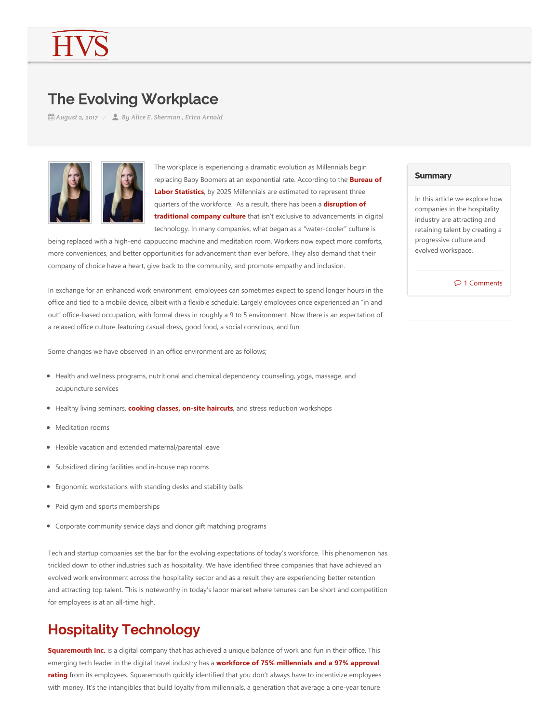# The Evolving Workplace

*August 2, 2017 By Alice E. Sherman , Erica Arnold*



The workplace is experiencing a dramatic evolution as Millennials begin replacing Baby Boomers at an exponential rate. According to the **Bureau of Labor Statistics**, by 2025 Millennials are estimated to represent three quarters of the workforce. As a result, there has been a **disruption of traditional company culture** that isn't exclusive to advancements in digital technology. In many companies, what began as a "water‐cooler" culture is

being replaced with a high-end cappuccino machine and meditation room. Workers now expect more comforts, more conveniences, and better opportunities for advancement than ever before. They also demand that their company of choice have a heart, give back to the community, and promote empathy and inclusion.

In exchange for an enhanced work environment, employees can sometimes expect to spend longer hours in the office and tied to a mobile device, albeit with a flexible schedule. Largely employees once experienced an "in and out" office‐based occupation, with formal dress in roughly a 9 to 5 environment. Now there is an expectation of a relaxed office culture featuring casual dress, good food, a social conscious, and fun.

Some changes we have observed in an office environment are as follows;

- Health and wellness programs, nutritional and chemical dependency counseling, yoga, massage, and acupuncture services
- Healthy living seminars, **cooking classes, on-site haircuts**, and stress reduction workshops
- Meditation rooms
- Flexible vacation and extended maternal/parental leave
- Subsidized dining facilities and in-house nap rooms
- Ergonomic workstations with standing desks and stability balls
- Paid gym and sports memberships
- Corporate community service days and donor gift matching programs

Tech and startup companies set the bar for the evolving expectations of today's workforce. This phenomenon has trickled down to other industries such as hospitality. We have identified three companies that have achieved an evolved work environment across the hospitality sector and as a result they are experiencing better retention and attracting top talent. This is noteworthy in today's labor market where tenures can be short and competition for employees is at an all‐time high.

# Hospitality Technology

**Squaremouth Inc.** is a digital company that has achieved a unique balance of work and fun in their office. This emerging tech leader in the digital travel industry has a **workforce of 75% millennials and a 97% approval rating** from its employees. Squaremouth quickly identified that you don't always have to incentivize employees with money. It's the intangibles that build loyalty from millennials, a generation that average a one-year tenure

#### **Summary**

In this article we explore how companies in the hospitality industry are attracting and retaining talent by creating a progressive culture and evolved workspace.

 $\mathcal{P}$  1 Comments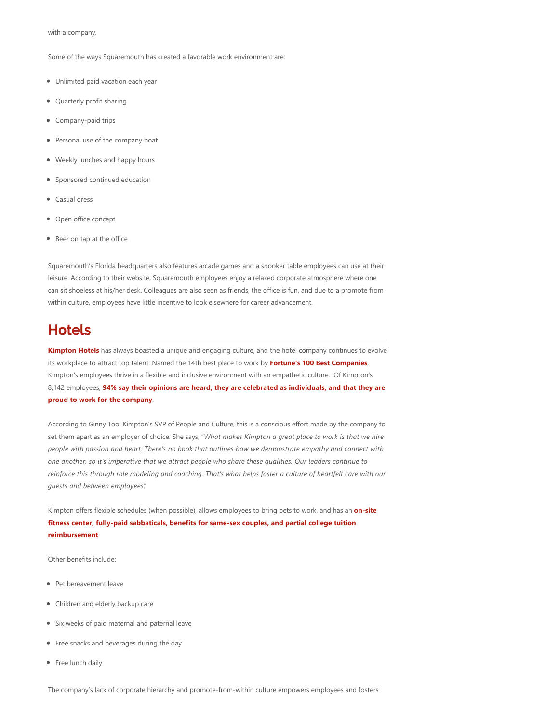with a company.

Some of the ways Squaremouth has created a favorable work environment are:

- Unlimited paid vacation each year
- Quarterly profit sharing
- Company-paid trips
- Personal use of the company boat
- Weekly lunches and happy hours
- Sponsored continued education
- Casual dress
- Open office concept
- Beer on tap at the office

Squaremouth's Florida headquarters also features arcade games and a snooker table employees can use at their leisure. According to their website, Squaremouth employees enjoy a relaxed corporate atmosphere where one can sit shoeless at his/her desk. Colleagues are also seen as friends, the office is fun, and due to a promote from within culture, employees have little incentive to look elsewhere for career advancement.

### Hotels

**Kimpton Hotels** has always boasted a unique and engaging culture, and the hotel company continues to evolve its workplace to attract top talent. Named the 14th best place to work by **Fortune's 100 Best Companies**, Kimpton's employees thrive in a flexible and inclusive environment with an empathetic culture. Of Kimpton's 8,142 employees, **94% say their opinions are heard, they are celebrated as individuals, and that they are proud to work for the company**.

According to Ginny Too, Kimpton's SVP of People and Culture, this is a conscious effort made by the company to set them apart as an employer of choice. She says, "*What makes Kimpton a great place to work is that we hire people with passion and heart. There's no book that outlines how we demonstrate empathy and connect with one another, so it's imperative that we attract people who share these qualities. Our leaders continue to reinforce this through role modeling and coaching. That's what helps foster a culture of heartfelt care with our guests and between employees*."

Kimpton offers flexible schedules (when possible), allows employees to bring pets to work, and has an **on-site fitness center, fully‐paid sabbaticals, benefits for same‐sex couples, and partial college tuition reimbursement**.

Other benefits include:

- Pet bereavement leave
- Children and elderly backup care
- Six weeks of paid maternal and paternal leave
- Free snacks and beverages during the day
- Free lunch daily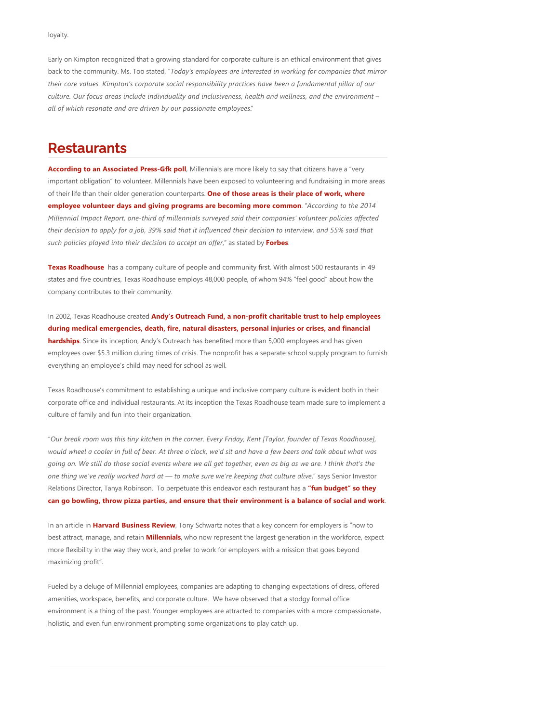loyalty.

Early on Kimpton recognized that a growing standard for corporate culture is an ethical environment that gives back to the community. Ms. Too stated, "*Today's employees are interested in working for companies that mirror their core values. Kimpton's corporate social responsibility practices have been a fundamental pillar of our culture. Our focus areas include individuality and inclusiveness, health and wellness, and the environment – all of which resonate and are driven by our passionate employees*."

## **Restaurants**

According to an Associated Press-Gfk poll, Millennials are more likely to say that citizens have a "very important obligation" to volunteer. Millennials have been exposed to volunteering and fundraising in more areas of their life than their older generation counterparts. **One of those areas is their place of work, where employee volunteer days and giving programs are becoming more common**. "*According to the 2014 Millennial Impact Report, one‐third of millennials surveyed said their companies' volunteer policies affected their decision to apply for a job, 39% said that it influenced their decision to interview, and 55% said that such policies played into their decision to accept an offer*," as stated by **Forbes**.

**Texas Roadhouse** has a company culture of people and community first. With almost 500 restaurants in 49 states and five countries, Texas Roadhouse employs 48,000 people, of whom 94% "feel good" about how the company contributes to their community.

In 2002, Texas Roadhouse created **Andy's Outreach Fund, a non‐profit charitable trust to help employees during medical emergencies, death, fire, natural disasters, personal injuries or crises, and financial hardships**. Since its inception, Andy's Outreach has benefited more than 5,000 employees and has given employees over \$5.3 million during times of crisis. The nonprofit has a separate school supply program to furnish everything an employee's child may need for school as well.

Texas Roadhouse's commitment to establishing a unique and inclusive company culture is evident both in their corporate office and individual restaurants. At its inception the Texas Roadhouse team made sure to implement a culture of family and fun into their organization.

"*Our break room was this tiny kitchen in the corner. Every Friday, Kent [Taylor, founder of Texas Roadhouse], would wheel a cooler in full of beer. At three o'clock, we'd sit and have a few beers and talk about what was going on. We still do those social events where we all get together, even as big as we are. I think that's the one thing we've really worked hard at — to make sure we're keeping that culture alive*," says Senior Investor Relations Director, Tanya Robinson. To perpetuate this endeavor each restaurant has a **"fun budget" so they can go bowling, throw pizza parties, and ensure that their environment is a balance of social and work**.

In an article in **Harvard Business Review**, Tony Schwartz notes that a key concern for employers is "how to best attract, manage, and retain **Millennials**, who now represent the largest generation in the workforce, expect more flexibility in the way they work, and prefer to work for employers with a mission that goes beyond maximizing profit".

Fueled by a deluge of Millennial employees, companies are adapting to changing expectations of dress, offered amenities, workspace, benefits, and corporate culture. We have observed that a stodgy formal office environment is a thing of the past. Younger employees are attracted to companies with a more compassionate, holistic, and even fun environment prompting some organizations to play catch up.